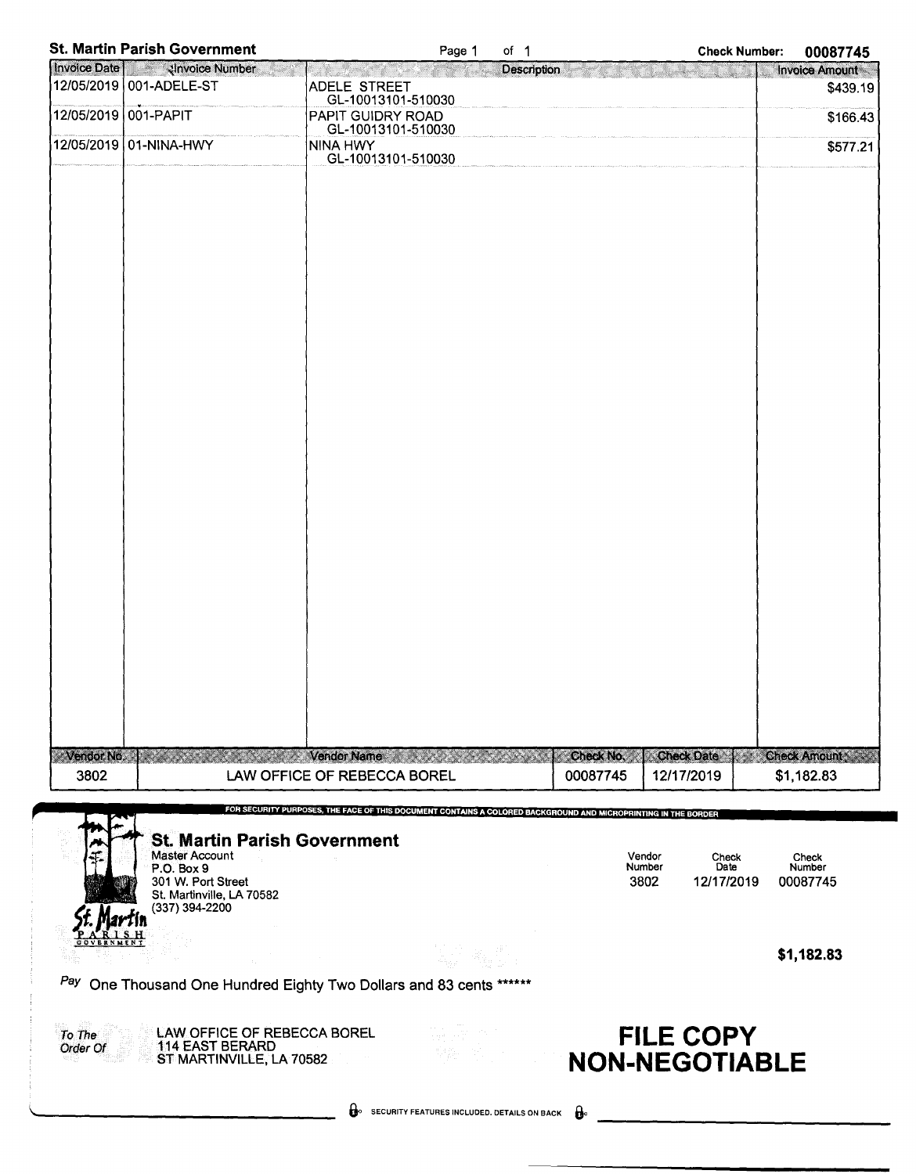|                    | <b>St. Martin Parish Government</b>                   | of $1$<br>Page 1<br><b>Check Number:</b>                                                                      | 00087745            |  |
|--------------------|-------------------------------------------------------|---------------------------------------------------------------------------------------------------------------|---------------------|--|
|                    | Invoice Date   <b>William School</b> Number           | <b>Description</b>                                                                                            | Invoice Amount      |  |
|                    | 12/05/2019 001-ADELE-ST                               | ADELE STREET                                                                                                  | \$439.19            |  |
|                    | 12/05/2019 001-PAPIT                                  | GL-10013101-510030                                                                                            |                     |  |
|                    |                                                       | PAPIT GUIDRY ROAD<br>GL-10013101-510030                                                                       | \$166.43            |  |
|                    | 12/05/2019 01-NINA-HWY                                | <b>NINA HWY</b>                                                                                               | \$577.21            |  |
|                    |                                                       | GL-10013101-510030                                                                                            |                     |  |
|                    |                                                       |                                                                                                               |                     |  |
|                    |                                                       |                                                                                                               |                     |  |
|                    |                                                       |                                                                                                               |                     |  |
|                    |                                                       |                                                                                                               |                     |  |
|                    |                                                       |                                                                                                               |                     |  |
|                    |                                                       |                                                                                                               |                     |  |
|                    |                                                       |                                                                                                               |                     |  |
|                    |                                                       |                                                                                                               |                     |  |
|                    |                                                       |                                                                                                               |                     |  |
|                    |                                                       |                                                                                                               |                     |  |
|                    |                                                       |                                                                                                               |                     |  |
|                    |                                                       |                                                                                                               |                     |  |
|                    |                                                       |                                                                                                               |                     |  |
|                    |                                                       |                                                                                                               |                     |  |
|                    |                                                       |                                                                                                               |                     |  |
|                    |                                                       |                                                                                                               |                     |  |
|                    |                                                       |                                                                                                               |                     |  |
|                    |                                                       |                                                                                                               |                     |  |
|                    |                                                       |                                                                                                               |                     |  |
|                    |                                                       |                                                                                                               |                     |  |
|                    |                                                       |                                                                                                               |                     |  |
|                    |                                                       |                                                                                                               |                     |  |
|                    |                                                       |                                                                                                               |                     |  |
|                    |                                                       |                                                                                                               |                     |  |
|                    |                                                       |                                                                                                               |                     |  |
|                    |                                                       |                                                                                                               |                     |  |
|                    |                                                       |                                                                                                               |                     |  |
|                    |                                                       |                                                                                                               |                     |  |
|                    |                                                       |                                                                                                               |                     |  |
|                    |                                                       |                                                                                                               |                     |  |
|                    |                                                       |                                                                                                               |                     |  |
| Vendor No.         |                                                       | <b>Check No.</b><br><b>Check Date</b><br><b>Vendor Name</b>                                                   | <b>Check Amount</b> |  |
| 3802               |                                                       | LAW OFFICE OF REBECCA BOREL<br>00087745<br>12/17/2019                                                         | \$1,182.83          |  |
|                    |                                                       |                                                                                                               |                     |  |
|                    |                                                       | FOR SECURITY PURPOSES, THE FACE OF THIS DOCUMENT CONTAINS A COLORED BACKGROUND AND MICROPRINTING IN THE BORDE |                     |  |
|                    | <b>St. Martin Parish Government</b>                   |                                                                                                               |                     |  |
|                    | Master Account                                        | Vendor<br>Check                                                                                               | Check               |  |
|                    | P.O. Box 9<br>301 W. Port Street                      | Number<br>Date<br>3802<br>12/17/2019                                                                          | Number<br>00087745  |  |
|                    | St. Martinville, LA 70582                             |                                                                                                               |                     |  |
|                    | (337) 394-2200                                        |                                                                                                               |                     |  |
|                    |                                                       |                                                                                                               |                     |  |
|                    |                                                       |                                                                                                               | \$1,182.83          |  |
|                    |                                                       |                                                                                                               |                     |  |
|                    |                                                       | Pay One Thousand One Hundred Eighty Two Dollars and 83 cents                                                  |                     |  |
|                    |                                                       |                                                                                                               |                     |  |
| To The<br>Order Of | LAW OFFICE OF REBECCA BOREL<br><b>114 EAST BERARD</b> | <b>FILE COPY</b><br>김종 수행                                                                                     |                     |  |
|                    | ST MARTINVILLE, LA 70582                              | <b>NON-NEGOTIABLE</b>                                                                                         |                     |  |
|                    |                                                       |                                                                                                               |                     |  |
|                    |                                                       |                                                                                                               |                     |  |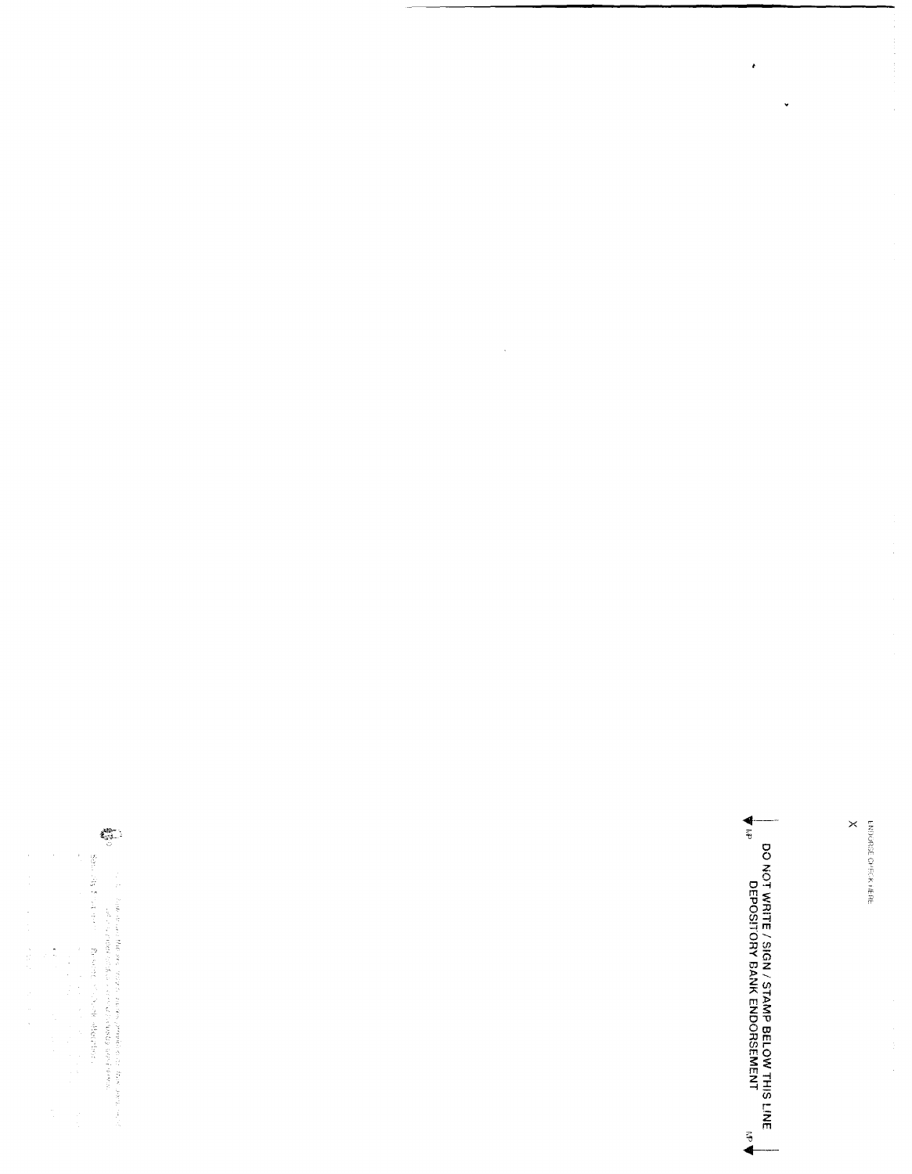$\bar{\phantom{a}}$ 

 $\bar{\mathcal{L}}$ 

 $\binom{10}{5}$ is a linear environmental means proposed a construction of these lines of the second state of the second state of the second state of the second state of the second state of the second state of the second state of the sec  $\times$ ENDORSE OPECK HERE

 $\frac{4}{5}$ 

**DO NOT WRITE / SIGN / STAMP BELOW THIS LINE<br>DEPOSITORY BANK ENDORSEMENT<br>DEPOSITORY BANK ENDORSEMENT** 

 $\sum_{i=1}^{n}$ 

 $\frac{1}{2}$  ,  $\frac{1}{2}$  ,  $\frac{1}{2}$  ,  $\frac{1}{2}$  ,  $\frac{1}{2}$  ,  $\frac{1}{2}$  ,  $\frac{1}{2}$  ,  $\frac{1}{2}$  ,  $\frac{1}{2}$ 

 $\bullet$ 

 $\hat{\boldsymbol{\beta}}$ 

 $\ddot{\phantom{0}}$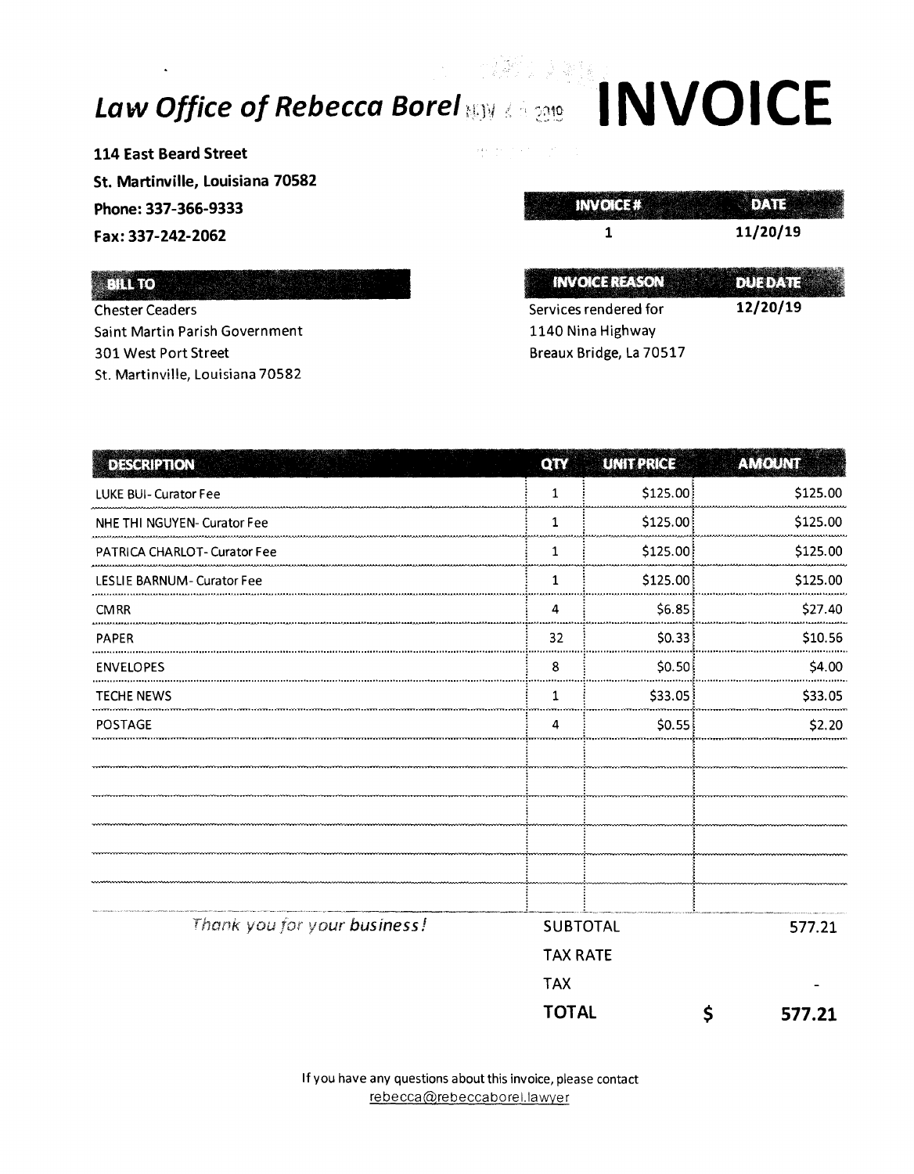## Law Office of Rebecca Borel NO ICE

114 East Beard Street St. Martinville, Louisiana 70582 Phone: 337-366-9333 Fax: 337-242-2062

#### BILLTO

**Chester Ceaders** Saint Martin Parish Government 301 West Port Street St. Martinville, Louisiana 70582

 $\frac{1}{2}$  $\boldsymbol{\beta}$ 

| 11/20/19 |
|----------|
|          |

12/20/19 Services rendered for 1140 Nina Highway Breaux Bridge, La 70517

| <b>DESCRIPTION</b>           | QTY                                | <b>UNITPRICE</b> | AMOUNT       |          |
|------------------------------|------------------------------------|------------------|--------------|----------|
| LUKE BUI- Curator Fee        | $\mathbf 1$                        | \$125.00         |              | \$125.00 |
| NHE THI NGUYEN- Curator Fee  | 1                                  | \$125.00         |              | \$125.00 |
| PATRICA CHARLOT- Curator Fee | 1                                  | \$125.00         |              | \$125.00 |
| LESLIE BARNUM - Curator Fee  | $\mathbf{1}$                       | \$125.00         |              | \$125.00 |
| <b>CMRR</b>                  | 4                                  | \$6.85           |              | \$27.40  |
| <b>PAPER</b>                 | 32                                 | \$0.33           |              | \$10.56  |
| <b>ENVELOPES</b>             | 8                                  | \$0.50           |              | \$4.00   |
| <b>TECHE NEWS</b>            | $\mathbf{1}$                       | \$33.05          |              | \$33.05  |
| <b>POSTAGE</b>               | 4                                  | \$0.55           |              | \$2.20   |
|                              |                                    |                  |              |          |
|                              |                                    |                  |              |          |
|                              |                                    |                  |              |          |
|                              |                                    |                  |              |          |
|                              |                                    |                  |              |          |
|                              |                                    |                  |              |          |
| Thank you for your business! | <b>SUBTOTAL</b><br><b>TAX RATE</b> |                  | 577.21       |          |
|                              |                                    |                  |              |          |
|                              | <b>TAX</b>                         |                  |              |          |
|                              | <b>TOTAL</b>                       |                  | \$<br>577.21 |          |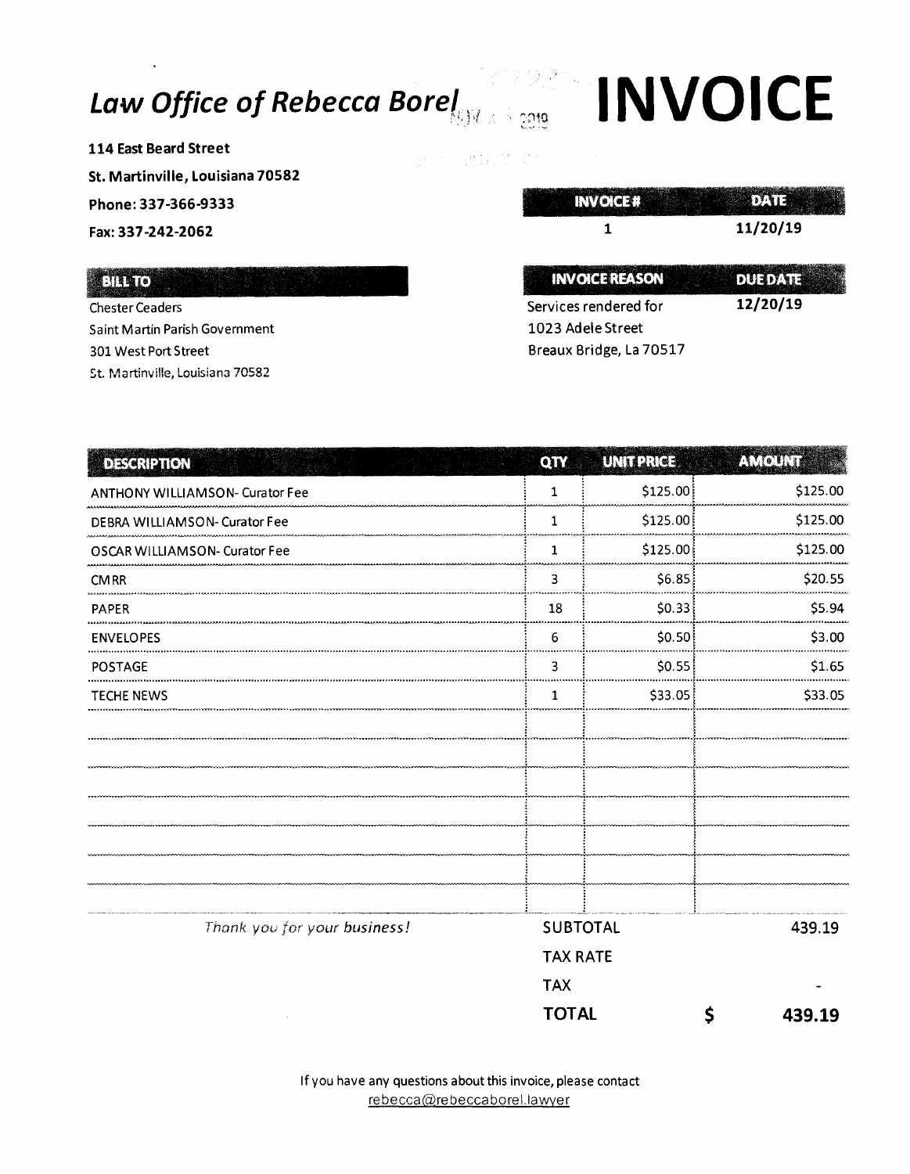### Law Office of Rebecca Borel

114 East Beard Street St. Martinville, Louisiana 70582 Phone: 337-366-9333 Fax: 337-242-2062

#### **ENADO**

**Chester Ceaders** Saint Martin Parish Government 301 West Port Street St. Martinville, Louisiana 70582

**INVOICE** 

 $\gamma$ ว10

 $\frac{1}{2} \sum_{i=1}^{2} \frac{1}{2} \sum_{j=1}^{2} \frac{1}{j} \sum_{j=1}^{2}$ 

| <b>INVOICE REASON</b>   | 0.01110  |
|-------------------------|----------|
| Services rendered for   | 12/20/19 |
| 1023 Adele Street       |          |
| Breaux Bridge. La 70517 |          |

| <b>DESCRIPTION</b>                     | QTY                         | <b>UNIT PRICE</b> | AMOUNT      |
|----------------------------------------|-----------------------------|-------------------|-------------|
| <b>ANTHONY WILLIAMSON- Curator Fee</b> |                             | \$125.00          | \$125.00    |
| DEBRA WILLIAMSON- Curator Fee          | 1                           | \$125.00          | \$125.00    |
| OSCAR WILLIAMSON- Curator Fee          | 1                           | \$125.00          | \$125.00    |
| <b>CMRR</b>                            | 3                           | \$6.85            | \$20.55     |
| <b>PAPER</b>                           | 18                          | \$0.33            | \$5.94      |
| <b>ENVELOPES</b>                       | 6                           | SO.50             | \$3.00      |
| <b>POSTAGE</b>                         | 3                           | \$0.55            | \$1.65      |
| <b>TECHE NEWS</b>                      | 1                           | \$33.05           | \$33.05     |
|                                        |                             |                   |             |
|                                        |                             |                   |             |
|                                        |                             |                   |             |
|                                        |                             |                   |             |
|                                        |                             |                   |             |
|                                        |                             |                   |             |
|                                        |                             |                   |             |
| Thank you for your business!           | SUBTOTAL<br><b>TAX RATE</b> |                   | 439.19      |
|                                        |                             |                   |             |
|                                        | <b>TAX</b>                  |                   |             |
|                                        | <b>TOTAL</b>                |                   | Ś<br>439.19 |

If you have any questions about this invoice, please contact rebecca@rebeccaborel.lawyer